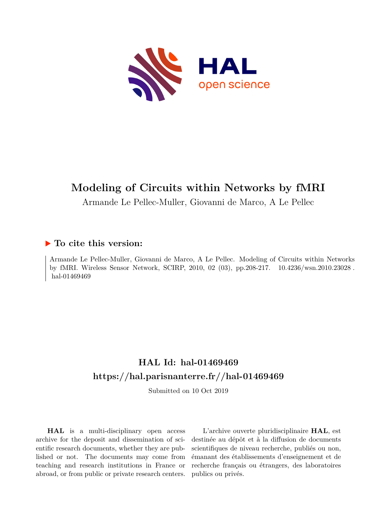

# **Modeling of Circuits within Networks by fMRI**

Armande Le Pellec-Muller, Giovanni de Marco, A Le Pellec

## **To cite this version:**

Armande Le Pellec-Muller, Giovanni de Marco, A Le Pellec. Modeling of Circuits within Networks by fMRI. Wireless Sensor Network, SCIRP, 2010, 02 (03), pp.208-217. 10.4236/wsn.2010.23028. hal-01469469

## **HAL Id: hal-01469469 <https://hal.parisnanterre.fr//hal-01469469>**

Submitted on 10 Oct 2019

**HAL** is a multi-disciplinary open access archive for the deposit and dissemination of scientific research documents, whether they are published or not. The documents may come from teaching and research institutions in France or abroad, or from public or private research centers.

L'archive ouverte pluridisciplinaire **HAL**, est destinée au dépôt et à la diffusion de documents scientifiques de niveau recherche, publiés ou non, émanant des établissements d'enseignement et de recherche français ou étrangers, des laboratoires publics ou privés.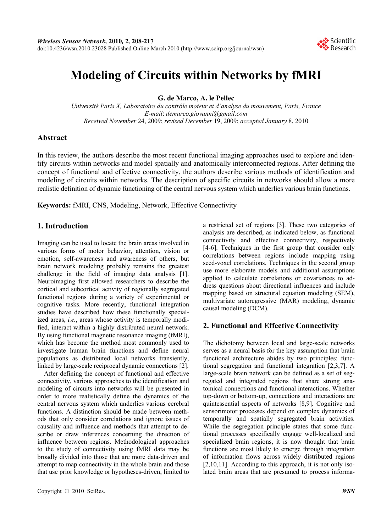

## **Modeling of Circuits within Networks by fMRI**

**G. de Marco, A. le Pellec** 

*Université Paris X, Laboratoire du contrôle moteur et d'analyse du mouvement, Paris, France E-mail*: *demarco.giovanni@gmail.com Received November* 24, 2009; *revised December* 19, 2009; *accepted January* 8, 2010

## **Abstract**

In this review, the authors describe the most recent functional imaging approaches used to explore and identify circuits within networks and model spatially and anatomically interconnected regions. After defining the concept of functional and effective connectivity, the authors describe various methods of identification and modeling of circuits within networks. The description of specific circuits in networks should allow a more realistic definition of dynamic functioning of the central nervous system which underlies various brain functions.

**Keywords:** fMRI, CNS, Modeling, Network, Effective Connectivity

## **1. Introduction**

Imaging can be used to locate the brain areas involved in various forms of motor behavior, attention, vision or emotion, self-awareness and awareness of others, but brain network modeling probably remains the greatest challenge in the field of imaging data analysis [1]. Neuroimaging first allowed researchers to describe the cortical and subcortical activity of regionally segregated functional regions during a variety of experimental or cognitive tasks. More recently, functional integration studies have described how these functionally specialized areas, *i.e.*, areas whose activity is temporally modified, interact within a highly distributed neural network. By using functional magnetic resonance imaging (fMRI), which has become the method most commonly used to investigate human brain functions and define neural populations as distributed local networks transiently, linked by large-scale reciprocal dynamic connections [2].

After defining the concept of functional and effective connectivity, various approaches to the identification and modeling of circuits into networks will be presented in order to more realistically define the dynamics of the central nervous system which underlies various cerebral functions. A distinction should be made between methods that only consider correlations and ignore issues of causality and influence and methods that attempt to describe or draw inferences concerning the direction of influence between regions. Methodological approaches to the study of connectivity using fMRI data may be broadly divided into those that are more data-driven and attempt to map connectivity in the whole brain and those that use prior knowledge or hypotheses-driven, limited to

a restricted set of regions [3]. These two categories of analysis are described, as indicated below, as functional connectivity and effective connectivity, respectively [4-6]. Techniques in the first group that consider only correlations between regions include mapping using seed-voxel correlations. Techniques in the second group use more elaborate models and additional assumptions applied to calculate correlations or covariances to address questions about directional influences and include mapping based on structural equation modeling (SEM), multivariate autoregressive (MAR) modeling, dynamic causal modeling (DCM).

### **2. Functional and Effective Connectivity**

The dichotomy between local and large-scale networks serves as a neural basis for the key assumption that brain functional architecture abides by two principles: functional segregation and functional integration [2,3,7]. A large-scale brain network can be defined as a set of segregated and integrated regions that share strong anatomical connections and functional interactions. Whether top-down or bottom-up, connections and interactions are quintessential aspects of networks [8,9]. Cognitive and sensorimotor processes depend on complex dynamics of temporally and spatially segregated brain activities. While the segregation principle states that some functional processes specifically engage well-localized and specialized brain regions, it is now thought that brain functions are most likely to emerge through integration of information flows across widely distributed regions [2,10,11]. According to this approach, it is not only isolated brain areas that are presumed to process informa-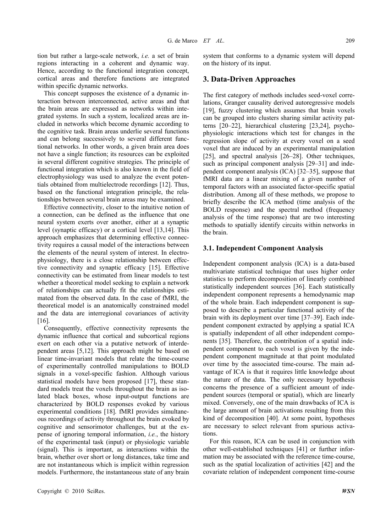tion but rather a large-scale network, *i.e.* a set of brain regions interacting in a coherent and dynamic way. Hence, according to the functional integration concept, cortical areas and therefore functions are integrated within specific dynamic networks.

This concept supposes the existence of a dynamic interaction between interconnected, active areas and that the brain areas are expressed as networks within integrated systems. In such a system, localized areas are included in networks which become dynamic according to the cognitive task. Brain areas underlie several functions and can belong successively to several different functional networks. In other words, a given brain area does not have a single function; its resources can be exploited in several different cognitive strategies. The principle of functional integration which is also known in the field of electrophysiology was used to analyze the event potentials obtained from multielectrode recordings [12]. Thus, based on the functional integration principle, the relationships between several brain areas may be examined.

Effective connectivity, closer to the intuitive notion of a connection, can be defined as the influence that one neural system exerts over another, either at a synaptic level (synaptic efficacy) or a cortical level [13,14]. This approach emphasizes that determining effective connectivity requires a causal model of the interactions between the elements of the neural system of interest. In electrophysiology, there is a close relationship between effective connectivity and synaptic efficacy [15]. Effective connectivity can be estimated from linear models to test whether a theoretical model seeking to explain a network of relationships can actually fit the relationships estimated from the observed data. In the case of fMRI, the theoretical model is an anatomically constrained model and the data are interregional covariances of activity [16].

Consequently, effective connectivity represents the dynamic influence that cortical and subcortical regions exert on each other via a putative network of interdependent areas [5,12]. This approach might be based on linear time-invariant models that relate the time-course of experimentally controlled manipulations to BOLD signals in a voxel-specific fashion. Although various statistical models have been proposed [17], these standard models treat the voxels throughout the brain as isolated black boxes, whose input-output functions are characterized by BOLD responses evoked by various experimental conditions [18]. fMRI provides simultaneous recordings of activity throughout the brain evoked by cognitive and sensorimotor challenges, but at the expense of ignoring temporal information, *i.e.*, the history of the experimental task (input) or physiologic variable (signal). This is important, as interactions within the brain, whether over short or long distances, take time and are not instantaneous which is implicit within regression models. Furthermore, the instantaneous state of any brain

#### **3. Data-Driven Approaches**

The first category of methods includes seed-voxel correlations, Granger causality derived autoregressive models [19], fuzzy clustering which assumes that brain voxels can be grouped into clusters sharing similar activity patterns [20–22], hierarchical clustering [23,24], psychophysiologic interactions which test for changes in the regression slope of activity at every voxel on a seed voxel that are induced by an experimental manipulation [25], and spectral analysis [26–28]. Other techniques, such as principal component analysis [29–31] and independent component analysis (ICA) [32–35], suppose that fMRI data are a linear mixing of a given number of temporal factors with an associated factor-specific spatial distribution. Among all of these methods, we propose to briefly describe the ICA method (time analysis of the BOLD response) and the spectral method (frequency analysis of the time response) that are two interesting methods to spatially identify circuits within networks in the brain.

#### **3.1. Independent Component Analysis**

Independent component analysis (ICA) is a data-based multivariate statistical technique that uses higher order statistics to perform decomposition of linearly combined statistically independent sources [36]. Each statistically independent component represents a hemodynamic map of the whole brain. Each independent component is supposed to describe a particular functional activity of the brain with its deployment over time [37–39]. Each independent component extracted by applying a spatial ICA is spatially independent of all other independent components [35]. Therefore, the contribution of a spatial independent component to each voxel is given by the independent component magnitude at that point modulated over time by the associated time-course. The main advantage of ICA is that it requires little knowledge about the nature of the data. The only necessary hypothesis concerns the presence of a sufficient amount of independent sources (temporal or spatial), which are linearly mixed. Conversely, one of the main drawbacks of ICA is the large amount of brain activations resulting from this kind of decomposition [40]. At some point, hypotheses are necessary to select relevant from spurious activations.

For this reason, ICA can be used in conjunction with other well-established techniques [41] or further information may be associated with the reference time-course, such as the spatial localization of activities [42] and the covariate relation of independent component time-course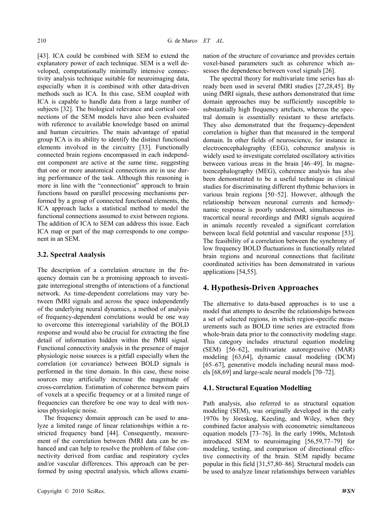[43]. ICA could be combined with SEM to extend the explanatory power of each technique. SEM is a well developed, computationally minimally intensive connectivity analysis technique suitable for neuroimaging data, especially when it is combined with other data-driven methods such as ICA. In this case, SEM coupled with ICA is capable to handle data from a large number of subjects [32]. The biological relevance and cortical connections of the SEM models have also been evaluated with reference to available knowledge based on animal and human circuitries. The main advantage of spatial group ICA is its ability to identify the distinct functional elements involved in the circuitry [33]. Functionally connected brain regions encompassed in each independent component are active at the same time, suggesting that one or more anatomical connections are in use during performance of the task. Although this reasoning is more in line with the "connectionist" approach to brain functions based on parallel processing mechanisms performed by a group of connected functional elements, the ICA approach lacks a statistical method to model the functional connections assumed to exist between regions. The addition of ICA to SEM can address this issue. Each ICA map or part of the map corresponds to one component in an SEM.

#### **3.2. Spectral Analysis**

The description of a correlation structure in the frequency domain can be a promising approach to investigate interregional strengths of interactions of a functional network. As time-dependent correlations may vary between fMRI signals and across the space independently of the underlying neural dynamics, a method of analysis of frequency-dependent correlations would be one way to overcome this interregional variability of the BOLD response and would also be crucial for extracting the fine detail of information hidden within the fMRI signal. Functional connectivity analysis in the presence of major physiologic noise sources is a pitfall especially when the correlation (or covariance) between BOLD signals is performed in the time domain. In this case, these noise sources may artificially increase the magnitude of cross-correlation. Estimation of coherence between pairs of voxels at a specific frequency or at a limited range of frequencies can therefore be one way to deal with noxious physiologic noise.

The frequency domain approach can be used to analyze a limited range of linear relationships within a restricted frequency band [44]. Consequently, measurement of the correlation between fMRI data can be enhanced and can help to resolve the problem of false connectivity derived from cardiac and respiratory cycles and/or vascular differences. This approach can be performed by using spectral analysis, which allows examination of the structure of covariance and provides certain voxel-based parameters such as coherence which assesses the dependence between voxel signals [26].

The spectral theory for multivariate time series has already been used in several fMRI studies [27,28,45]. By using fMRI signals, these authors demonstrated that time domain approaches may be sufficiently susceptible to substantially high frequency artefacts, whereas the spectral domain is essentially resistant to these artefacts. They also demonstrated that the frequency-dependent correlation is higher than that measured in the temporal domain. In other fields of neuroscience, for instance in electroencephalography (EEG), coherence analysis is widely used to investigate correlated oscillatory activities between various areas in the brain [46–49]. In magnetoencephalography (MEG), coherence analysis has also been demonstrated to be a useful technique in clinical studies for discriminating different rhythmic behaviors in various brain regions [50–52]. However, although the relationship between neuronal currents and hemodynamic response is poorly understood, simultaneous intracortical neural recordings and fMRI signals acquired in animals recently revealed a significant correlation between local field potential and vascular response [53]. The feasibility of a correlation between the synchrony of low frequency BOLD fluctuations in functionally related brain regions and neuronal connections that facilitate coordinated activities has been demonstrated in various applications [54,55].

## **4. Hypothesis-Driven Approaches**

The alternative to data-based approaches is to use a model that attempts to describe the relationships between a set of selected regions, in which region-specific measurements such as BOLD time series are extracted from whole-brain data prior to the connectivity modeling stage. This category includes structural equation modeling (SEM) [56–62], multivariate autoregressive (MAR) modeling [63,64], dynamic causal modeling (DCM) [65–67], generative models including neural mass models [68,69] and large-scale neural models [70–72].

#### **4.1. Structural Equation Modelling**

Path analysis, also referred to as structural equation modeling (SEM), was originally developed in the early 1970s by Jöreskog, Keesling, and Wiley, when they combined factor analysis with econometric simultaneous equation models [73–76]. In the early 1990s, McIntosh introduced SEM to neuroimaging [56,59,77–79] for modeling, testing, and comparison of directional effective connectivity of the brain. SEM rapidly became popular in this field [31,57,80–86]. Structural models can be used to analyze linear relationships between variables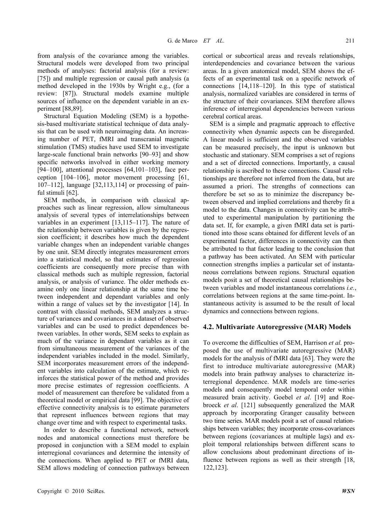from analysis of the covariance among the variables. Structural models were developed from two principal methods of analyses: factorial analysis (for a review: [75]) and multiple regression or causal path analysis (a method developed in the 1930s by Wright e.g., (for a review: [87]). Structural models examine multiple sources of influence on the dependent variable in an experiment [88,89].

Structural Equation Modeling (SEM) is a hypothesis-based multivariate statistical technique of data analysis that can be used with neuroimaging data. An increasing number of PET, fMRI and transcranial magnetic stimulation (TMS) studies have used SEM to investigate large-scale functional brain networks [90–93] and show specific networks involved in either working memory [94–100], attentional processes  $[64, 101-103]$ , face perception [104–106], motor movement processing [61, 107–112], language [32,113,114] or processing of painful stimuli [62].

SEM methods, in comparison with classical approaches such as linear regression, allow simultaneous analysis of several types of interrelationships between variables in an experiment [13,115–117]. The nature of the relationship between variables is given by the regression coefficient; it describes how much the dependent variable changes when an independent variable changes by one unit. SEM directly integrates measurement errors into a statistical model, so that estimates of regression coefficients are consequently more precise than with classical methods such as multiple regression, factorial analysis, or analysis of variance. The older methods examine only one linear relationship at the same time between independent and dependant variables and only within a range of values set by the investigator [14]. In contrast with classical methods, SEM analyzes a structure of variances and covariances in a dataset of observed variables and can be used to predict dependences between variables. In other words, SEM seeks to explain as much of the variance in dependant variables as it can from simultaneous measurement of the variances of the independent variables included in the model. Similarly, SEM incorporates measurement errors of the independent variables into calculation of the estimate, which reinforces the statistical power of the method and provides more precise estimates of regression coefficients. A model of measurement can therefore be validated from a theoretical model or empirical data [99]. The objective of effective connectivity analysis is to estimate parameters that represent influences between regions that may change over time and with respect to experimental tasks.

In order to describe a functional network, network nodes and anatomical connections must therefore be proposed in conjunction with a SEM model to explain interregional covariances and determine the intensity of the connections. When applied to PET or fMRI data, SEM allows modeling of connection pathways between

cortical or subcortical areas and reveals relationships, interdependencies and covariance between the various areas. In a given anatomical model, SEM shows the effects of an experimental task on a specific network of connections [14,118–120]. In this type of statistical analysis, normalized variables are considered in terms of the structure of their covariances. SEM therefore allows inference of interregional dependencies between various cerebral cortical areas.

SEM is a simple and pragmatic approach to effective connectivity when dynamic aspects can be disregarded. A linear model is sufficient and the observed variables can be measured precisely, the input is unknown but stochastic and stationary. SEM comprises a set of regions and a set of directed connections. Importantly, a causal relationship is ascribed to these connections. Causal relationships are therefore not inferred from the data, but are assumed a priori. The strengths of connections can therefore be set so as to minimize the discrepancy between observed and implied correlations and thereby fit a model to the data. Changes in connectivity can be attributed to experimental manipulation by partitioning the data set. If, for example, a given fMRI data set is partitioned into those scans obtained for different levels of an experimental factor, differences in connectivity can then be attributed to that factor leading to the conclusion that a pathway has been activated. An SEM with particular connection strengths implies a particular set of instantaneous correlations between regions. Structural equation models posit a set of theoretical causal relationships between variables and model instantaneous correlations *i.e.*, correlations between regions at the same time-point. Instantaneous activity is assumed to be the result of local dynamics and connections between regions.

#### **4.2. Multivariate Autoregressive (MAR) Models**

To overcome the difficulties of SEM, Harrison *et al.* proposed the use of multivariate autoregressive (MAR) models for the analysis of fMRI data [63]. They were the first to introduce multivariate autoregressive (MAR) models into brain pathway analyses to characterize interregional dependence. MAR models are time-series models and consequently model temporal order within measured brain activity. Goebel *et al*. [19] and Roebroeck *et al*. [121] subsequently generalized the MAR approach by incorporating Granger causality between two time series. MAR models posit a set of causal relationships between variables; they incorporate cross-covariances between regions (covariances at multiple lags) and exploit temporal relationships between different scans to allow conclusions about predominant directions of influence between regions as well as their strength [18, 122,123].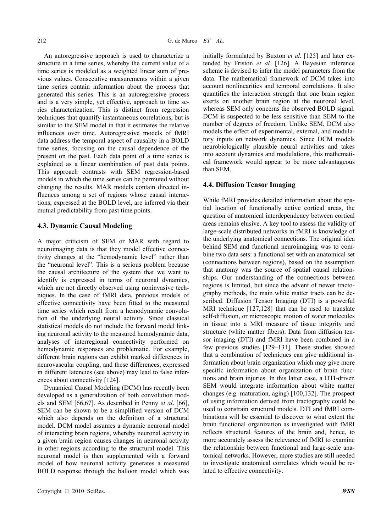An autoregressive approach is used to characterize a structure in a time series, whereby the current value of a time series is modeled as a weighted linear sum of previous values. Consecutive measurements within a given time series contain information about the process that generated this series. This is an autoregressive process and is a very simple, yet effective, approach to time series characterization. This is distinct from regression techniques that quantify instantaneous correlations, but is similar to the SEM model in that it estimates the relative influences over time. Autoregressive models of fMRI data address the temporal aspect of causality in a BOLD time series, focusing on the causal dependence of the present on the past. Each data point of a time series is explained as a linear combination of past data points. This approach contrasts with SEM regression-based models in which the time series can be permuted without changing the results. MAR models contain directed influences among a set of regions whose causal interactions, expressed at the BOLD level, are inferred via their mutual predictability from past time points.

#### **4.3. Dynamic Causal Modeling**

A major criticism of SEM or MAR with regard to neuroimaging data is that they model effective connectivity changes at the "hemodynamic level" rather than the "neuronal level". This is a serious problem because the causal architecture of the system that we want to identify is expressed in terms of neuronal dynamics, which are not directly observed using noninvasive techniques. In the case of fMRI data, previous models of effective connectivity have been fitted to the measured time series which result from a hemodynamic convolution of the underlying neural activity. Since classical statistical models do not include the forward model linking neuronal activity to the measured hemodynamic data, analyses of interregional connectivity performed on hemodynamic responses are problematic. For example, different brain regions can exhibit marked differences in neurovascular coupling, and these differences, expressed in different latencies (see above) may lead to false inferences about connectivity [124].

Dynamical Causal Modeling (DCM) has recently been developed as a generalization of both convolution models and SEM [66,67]. As described in Penny *et al*. [66], SEM can be shown to be a simplified version of DCM which also depends on the definition of a structural model. DCM model assumes a dynamic neuronal model of interacting brain regions, whereby neuronal activity in a given brain region causes changes in neuronal activity in other regions according to the structural model. This neuronal model is then supplemented with a forward model of how neuronal activity generates a measured BOLD response through the balloon model which was

initially formulated by Buxton *et al.* [125] and later extended by Friston *et al.* [126]. A Bayesian inference scheme is devised to infer the model parameters from the data. The mathematical framework of DCM takes into account nonlinearities and temporal correlations. It also quantifies the interaction strength that one brain region exerts on another brain region at the neuronal level, whereas SEM only concerns the observed BOLD signal. DCM is suspected to be less sensitive than SEM to the number of degrees of freedom. Unlike SEM, DCM also models the effect of experimental, external, and modulatory inputs on network dynamics. Since DCM models neurobiologically plausible neural activities and takes into account dynamics and modulations, this mathematical framework would appear to be more advantageous than SEM.

#### **4.4. Diffusion Tensor Imaging**

While fMRI provides detailed information about the spatial location of functionally active cortical areas, the question of anatomical interdependency between cortical areas remains elusive. A key tool to assess the validity of large-scale distributed networks in fMRI is knowledge of the underlying anatomical connections. The original idea behind SEM and functional neuroimaging was to combine two data sets: a functional set with an anatomical set (connections between regions), based on the assumption that anatomy was the source of spatial causal relationships. Our understanding of the connections between regions is limited, but since the advent of newer tractography methods, the main white matter tracts can be described. Diffusion Tensor Imaging (DTI) is a powerful MRI technique [127,128] that can be used to translate self-diffusion, or microscopic motion of water molecules in tissue into a MRI measure of tissue integrity and structure (white matter fibers). Data from diffusion tensor imaging (DTI) and fMRI have been combined in a few previous studies [129–131]. These studies showed that a combination of techniques can give additional information about brain organization which may give more specific information about organization of brain functions and brain injuries. In this latter case, a DTI-driven SEM would integrate information about white matter changes (e.g. maturation, aging) [100,132]. The prospect of using information derived from tractography could be used to constrain structural models. DTI and fMRI combinations will be essential to discover to what extent the brain functional organization as investigated with fMRI reflects structural features of the brain and, hence, to more accurately assess the relevance of fMRI to examine the relationship between functional and large-scale anatomical networks. However, more studies are still needed to investigate anatomical correlates which would be related to effective connectivity.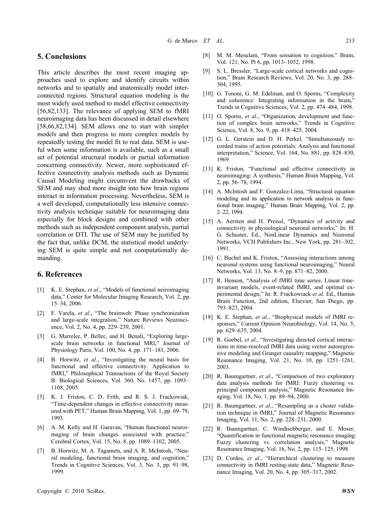#### **5. Conclusions**

This article describes the most recent imaging approaches used to explore and identify circuits within networks and to spatially and anatomically model interconnected regions. Structural equation modeling is the most widely used method to model effective connectivity [56,82,133]. The relevance of applying SEM to fMRI neuroimaging data has been discussed in detail elsewhere [58,66,82,134]. SEM allows one to start with simpler models and then progress to more complex models by repeatedly testing the model fit to real data. SEM is useful when some information is available, such as a small set of potential structural models or partial information concerning connectivity. Newer, more sophisticated effective connectivity analysis methods such as Dynamic Causal Modeling might circumvent the drawbacks of SEM and may shed more insight into how brain regions interact in information processing. Nevertheless, SEM is a well developed, computationally less intensive connectivity analysis technique suitable for neuroimaging data especially for block designs and combined with other methods such as independent component analysis, partial correlation or DTI. The use of SEM may be justified by the fact that, unlike DCM, the statistical model underlying SEM is quite simple and not computationally demanding.

### **6. References**

- [1] K. E. Stephan, *et al*., "Models of functional neiroimaging data," Center for Molecular Imaging Research, Vol. 2, pp. 15–34, 2006.
- [2] F. Varela, *et al*., "The brainweb: Phase synchronization and large-scale integration," Nature Reviews Neuroscience, Vol. 2, No. 4, pp. 229–239, 2001.
- [3] G. Marrelec, P. Bellec, and H. Benali, "Exploring largescale brain networks in functional MRI," Journal of Physiology Paris, Vol. 100, No. 4, pp. 171–181, 2006.
- [4] B. Horwitz, *et al*., "Investigating the neural basis for functional and effective connectivity. Application to fMRI," Philosophical Transactions of the Royal Society B: Biological Sciences, Vol. 360, No. 1457, pp. 1093– 1108, 2005.
- [5] K. J. Friston, C. D. Frith, and R. S. J. Frackowiak, "Time-dependent changes in effective connectivity measured with PET," Human Brain Mapping, Vol. 1, pp. 69–79, 1993.
- [6] A. M. Kelly and H. Garavan, "Human functional neuroimaging of brain changes associated with practice," [Cerebral Cortex,](http://cercor.oxfordjournals.org/) Vol. 15, No. 8, pp. 1089–1102, 2005.
- [7] B. Horwitz, M. A. Tagamets, and A. R. McIntosh, "Neural modeling, functional brain imaging, and cognition," [Trends in Cognitive Sciences,](http://www.cell.com/trends/cognitive-sciences/newarticles) Vol. 3, No. 3, pp. 91–98, 1999.
- [8] M. M. Mesulam, "From sensation to cognition," Brain, Vol. 121, No. Pt 6, pp. 1013–1052, 1998.
- [9] S. L. Bressler, "Large-scale cortical networks and cognition," Brain Research Reviews, Vol. 20, No. 3, pp. 288– 304, 1995.
- [10] G. Tononi, G. M. Edelman, and O. Sporns, "Complexity" and coherence: Integrating information in the brain," Trends in Cognitive Sciences, Vol. 2, pp. 474–484, 1998.
- [11] O. Sporns, *et al.*, "Organization, development and function of complex brain networks," Trends in Cognitive Science, Vol. 8, No. 9, pp. 418–425, 2004.
- [12] G. L. Gerstein and D. H. Perkel, "Simultaneously recorded trains of action potentials: Analysis and functional interpretation," Science, Vol. 164, No. 881, pp. 828–830, 1969.
- [13] K. Friston, "Functional and effective connectivity in neuroimaging: A synthesis," Human Brain Mapping, Vol. 2, pp. 56–78, 1994.
- [14] A. McIntosh and F. Gonzalez-Lima, "Structural equation modeling and its application to network analysis in functional brain imaging," Human Brain Mapping, Vol. 2, pp. 2–22, 1994.
- [15] A. Aersten and H. Preissl, "Dynamics of activity and connectivity in physiological neuronal networks," In: H. G. Schuster, Ed., NonLinear Dynamics and Neuronal Networks, VCH Publishers Inc., New York, pp. 281–302, 1991.
- [16] C. Buchel and K. Friston, "Assessing interactions among neuronal systems using functional neuroimaging," Neural Networks, Vol. 13, No. 8–9, pp. 871–82, 2000.
- [17] R. Henson, "Analysis of fMRI time series: Linear timeinvariant models, event-related fMRI, and optimal experimental design," In: R. Frackowiack *et al*. Ed., Human Brain Function, 2nd edition, Elsevier, San Diego, pp. 793–823, 2004.
- [18] K. E. Stephan, *et al*., "Biophysical models of fMRI responses," Current Opinion Neurobiology, Vol. 14, No. 5, pp. 629–635, 2004.
- [19] R. Goebel, *et al.*, "Investigating directed cortical interactions in time-resolved fMRI data using vector autoregressive modeling and Granger causality mapping," Magnetic Resonance Imaging, Vol. 21, No. 10, pp. 1251–1261, 2003.
- [20] R. Baumgartner, *et al*., "Comparison of two exploratory data analysis methods for fMRI: Fuzzy clustering vs. principal component analysis," Magnetic Resonance Imaging, Vol. 18, No. 1, pp. 89–94, 2000.
- [21] R. Baumgartner, *et al*., "Resampling as a cluster validation technique in fMRI," Journal of Magnetic Resonance Imaging, Vol. 11, No. 2, pp. 228–231, 2000.
- [22] R. Baumgartner, C. Windischberger, and E. Moser, "Quantification in functional magnetic resonance imaging: Fuzzy clustering vs. correlation analysis," Magnetic Resonance Imaging, Vol. 16, No. 2, pp. 115–125, 1998.
- [23] D. Cordes, *et al*., "Hierarchical clustering to measure connectivity in fMRI resting-state data," Magnetic Resonance Imaging, Vol. 20, No. 4, pp. 305–317, 2002.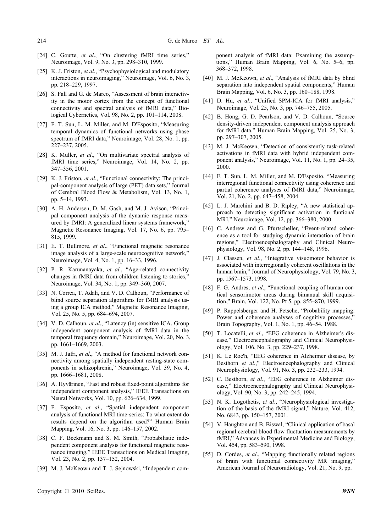- [24] C. Goutte, *et al.*, "On clustering fMRI time series," Neuroimage, Vol. 9, No. 3, pp. 298–310, 1999.
- [25] K. J. Friston, *et al.*, "Psychophysiological and modulatory interactions in neuroimaging," Neuroimage, Vol. 6, No. 3, pp. 218–229, 1997.
- [26] S. Fall and G. de Marco, "Assessment of brain interactivity in the motor cortex from the concept of functional connectivity and spectral analysis of fMRI data," Biological Cybernetics, Vol. 98, No. 2, pp. 101–114, 2008.
- [27] F. T. Sun, L. M. Miller, and M. D'Esposito, "Measuring temporal dynamics of functional networks using phase spectrum of fMRI data," Neuroimage, Vol. 28, No. 1, pp. 227–237, 2005.
- [28] K. Muller, *et al*., "On multivariate spectral analysis of fMRI time series," Neuroimage, Vol. 14, No. 2, pp. 347–356, 2001.
- [29] K. J. Friston, *et al.*, "Functional connectivity: The principal-component analysis of large (PET) data sets," Journal of Cerebral Blood Flow & Metabolism, Vol. 13, No. 1, pp. 5–14, 1993.
- [30] A. H. Andersen, D. M. Gash, and M. J. Avison, "Principal component analysis of the dynamic response measured by fMRI: A generalized linear systems framework," Magnetic Resonance Imaging, Vol. 17, No. 6, pp. 795– 815, 1999.
- [31] E. T. Bullmore, *et al*., "Functional magnetic resonance image analysis of a large-scale neurocognitive network," Neuroimage, Vol. 4, No. 1, pp. 16–33, 1996.
- [32] P. R. Karunanayaka, *et al*., "Age-related connectivity changes in fMRI data from children listening to stories," Neuroimage, Vol. 34, No. 1, pp. 349–360, 2007.
- [33] N. Correa, T. Adali, and V. D. Calhoun, "Performance of blind source separation algorithms for fMRI analysis using a group ICA method," Magnetic Resonance Imaging, Vol. 25, No. 5, pp. 684–694, 2007.
- [34] V. D. Calhoun, *et al*., "Latency (in) sensitive ICA. Group independent component analysis of fMRI data in the temporal frequency domain," Neuroimage, Vol. 20, No. 3, pp. 1661–1669, 2003.
- [35] M. J. Jafri, *et al.*, "A method for functional network connectivity among spatially independent resting-state components in schizophrenia," Neuroimage, Vol. 39, No. 4, pp. 1666–1681, 2008.
- [36] A. Hyvärinen, "Fast and robust fixed-point algorithms for independent component analysis," IEEE Transactions on Neural Networks, Vol. 10, pp. 626–634, 1999.
- [37] F. Esposito, *et al*., "Spatial independent component analysis of functional MRI time-series: To what extent do results depend on the algorithm used?" Human Brain Mapping, Vol. 16, No. 3, pp. 146–157, 2002.
- [38] C. F. Beckmann and S. M. Smith, "Probabilistic independent component analysis for functional magnetic resonance imaging," IEEE Transactions on Medical Imaging, Vol. 23, No. 2, pp. 137–152, 2004.
- [39] M. J. McKeown and T. J. Sejnowski, "Independent com-

ponent analysis of fMRI data: Examining the assumptions," Human Brain Mapping, Vol. 6, No. 5–6, pp. 368–372, 1998.

- [40] M. J. McKeown, *et al*., "Analysis of fMRI data by blind separation into independent spatial components," Human Brain Mapping, Vol. 6, No. 3, pp. 160–188, 1998.
- [41] D. Hu, et al., "Unified SPM-ICA for fMRI analysis," Neuroimage, Vol. 25, No. 3, pp. 746–755, 2005.
- [42] B. Hong, G. D. Pearlson, and V. D. Calhoun, "Source density-driven independent component analysis approach for fMRI data," Human Brain Mapping, Vol. 25, No. 3, pp. 297–307, 2005.
- [43] M. J. McKeown, "Detection of consistently task-related activations in fMRI data with hybrid independent component analysis," Neuroimage, Vol. 11, No. 1, pp. 24–35, 2000.
- [44] F. T. Sun, L. M. Miller, and M. D'Esposito, "Measuring interregional functional connectivity using coherence and partial coherence analyses of fMRI data," Neuroimage, Vol. 21, No. 2, pp. 647–458, 2004.
- [45] L. J. Marchini and B. D. Ripley, "A new statistical approach to detecting significant activation in funtional MRI," Neuroimage, Vol. 12, pp. 366–380, 2000.
- [46] C. Andrew and G. Pfurtscheller, "Event-related coherence as a tool for studying dynamic interaction of brain regions," Electroencephalography and Clinical Neurophysiology, Vol. 98, No. 2, pp. 144–148, 1996.
- [47] J. Classen, *et al*., "Integrative visuomotor behavior is associated with interregionally coherent oscillations in the human brain," Journal of Neurophysiology, Vol. 79, No. 3, pp. 1567–1573, 1998.
- [48] F. G. Andres, *et al*., "Functional coupling of human cortical sensorimotor areas during bimanual skill acquisition," Brain, Vol. 122, No. Pt 5, pp. 855–870, 1999.
- [49] P. Rappelsberger and H. Petsche, "Probability mapping: Power and coherence analyses of cognitive processes," Brain Topography, Vol. 1, No. 1, pp. 46–54, 1988.
- [50] T. Locatelli, *et al*., "EEG coherence in Alzheimer's disease," Electroencephalography and Clinical Neurophysiology, Vol. 106, No. 3, pp. 229–237, 1998.
- [51] K. Le Roc'h, "EEG coherence in Alzheimer disease, by Besthorn *et al*.," Electroencephalography and Clinical Neurophysiology, Vol. 91, No. 3, pp. 232–233, 1994.
- [52] C. Besthorn, *et al*., "EEG coherence in Alzheimer disease," Electroencephalography and Clinical Neurophysiology, Vol. 90, No. 3, pp. 242–245, 1994.
- [53] N. K. Logothetis, *et al*., "Neurophysiological investigation of the basis of the fMRI signal," Nature, Vol. 412, No. 6843, pp. 150–157, 2001.
- [54] V. Haughton and B. Biswal, "Clinical application of basal regional cerebral blood flow fluctuation measurements by fMRI," Advances in Experimental Medicine and Biology, Vol. 454, pp. 583–590, 1998.
- [55] D. Cordes, *et al*., "Mapping functionally related regions of brain with functional connectivity MR imaging,' [American Journal of Neuroradiology,](http://www.ajnr.org/) Vol. 21, No. 9, pp.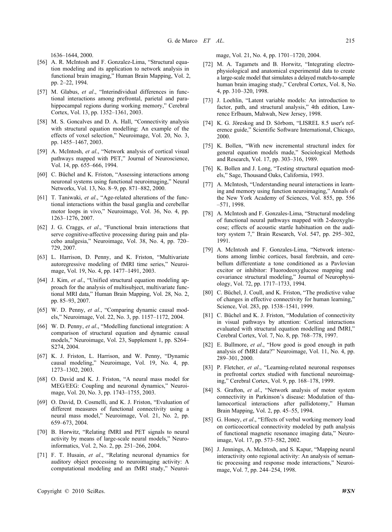1636–1644, 2000.

- [56] A. R. McIntosh and F. Gonzalez-Lima, "Structural equation modeling and its application to network analysis in functional brain imaging," Human Brain Mapping, Vol. 2, pp. 2–22, 1994.
- [57] M. Glabus, *et al*., "Interindividual differences in functional interactions among prefrontal, parietal and parahippocampal regions during working memory," Cerebral Cortex, Vol. 13, pp. 1352–1361, 2003.
- [58] M. S. Goncalves and D. A. Hall, "Connectivity analysis with structural equation modelling: An example of the effects of voxel selection," Neuroimage, Vol. 20, No. 3, pp. 1455–1467, 2003.
- [59] A. McIntosh, *et al*., "Network analysis of cortical visual pathways mapped with PET," Journal of Neuroscience, Vol. 14, pp. 655–666, 1994.
- [60] C. Büchel and K. Friston, "Assessing interactions among neuronal systems using functional neuroimaging," Neural Networks, Vol. 13, No. 8–9, pp. 871–882, 2000.
- [61] T. Taniwaki, *et al*., "Age-related alterations of the functional interactions within the basal ganglia and cerebellar motor loops in vivo," Neuroimage, Vol. 36, No. 4, pp. 1263–1276, 2007.
- [62] J. G. Craggs, *et al*., "Functional brain interactions that serve cognitive-affective processing during pain and placebo analgesia," Neuroimage, Vol. 38, No. 4, pp. 720– 729, 2007.
- [63] L. Harrison, D. Penny, and K. Friston, "Multivariate autoregressive modeling of fMRI time series," Neuroimage, Vol. 19, No. 4, pp. 1477–1491, 2003.
- [64] J. Kim, *et al*., "Unified structural equation modeling approach for the analysis of multisubject, multivariate functional MRI data," Human Brain Mapping, Vol. 28, No. 2, pp. 85–93, 2007.
- [65] W. D. Penny, *et al*., "Comparing dynamic causal models," Neuroimage, Vol. 22, No. 3, pp. 1157–1172, 2004.
- [66] W. D. Penny, *et al*., "Modelling functional integration: A comparison of structural equation and dynamic causal models," Neuroimage, Vol. 23, Supplement 1, pp. S264– S274, 2004.
- [67] K. J. Friston, L. Harrison, and W. Penny, "Dynamic causal modeling," Neuroimage, Vol. 19, No. 4, pp. 1273–1302, 2003.
- [68] O. David and K. J. Friston, "A neural mass model for MEG/EEG: Coupling and neuronal dynamics," Neuroimage, Vol. 20, No. 3, pp. 1743–1755, 2003.
- [69] O. David, D. Cosmelli, and K. J. Friston, "Evaluation of different measures of functional connectivity using a neural mass model," Neuroimage, Vol. 21, No. 2, pp. 659–673, 2004.
- [70] B. Horwitz, "Relating fMRI and PET signals to neural activity by means of large-scale neural models," Neuroinformatics, Vol. 2, No. 2, pp. 251–266, 2004.
- [71] F. T. Husain, *et al*., "Relating neuronal dynamics for auditory object processing to neuroimaging activity: A computational modeling and an fMRI study," Neuroi-

mage, Vol. 21, No. 4, pp. 1701–1720, 2004.

- [72] M. A. Tagamets and B. Horwitz, "Integrating electrophysiological and anatomical experimental data to create a large-scale model that simulates a delayed match-to-sample human brain imaging study," Cerebral Cortex, Vol. 8, No. 4, pp. 310–320, 1998.
- [73] J. Loehlin, "Latent variable models: An introduction to factor, path, and structural analysis," 4th edition, Lawrence Erlbaum, Mahwah, New Jersey, 1998.
- [74] K. G. Jöreskog and D. Sörbom, "LISREL 8.5 user's reference guide," Scientific Software International, Chicago, 2000.
- [75] K. Bollen, "With new incremental structural index for general equation models made," Sociological Methods and Research, Vol. 17, pp. 303–316, 1989.
- [76] K. Bollen and J. Long, "Testing structural equation models," Sage, Thousand Oaks, California, 1993.
- [77] A. McIntosh, "Understanding neural interactions in learning and memory using function neuroimaging," Annals of the New York Academy of Sciences, Vol. 855, pp. 556 –571, 1998.
- [78] A. McIntosh and F. Gonzales-Lima, "Structural modeling of functional neural pathways mapped with 2-deoxyglucose; effects of acoustic startle habituation on the auditory system 7," Brain Research, Vol. 547, pp. 295–302, 1991.
- [79] A. McIntosh and F. Gonzales-Lima, "Network interactions among limbic cortices, basal forebrain, and cerebellum differentiate a tone conditioned as a Pavlovian excitor or inhibitor: Fluorodeoxyglucose mapping and covariance structural modeling," Journal of Neurophysiology, Vol. 72, pp. 1717–1733, 1994.
- [80] C. Büchel, J. Coull, and K. Friston, "The predictive value of changes in effective connectivity for human learning," Science, Vol. 283, pp. 1538–1541, 1999.
- [81] C. Büchel and K. J. Friston, "Modulation of connectivity in visual pathways by attention: Cortical interactions evaluated with structural equation modelling and fMRI," Cerebral Cortex, Vol. 7, No. 8, pp. 768–778, 1997.
- [82] E. Bullmore, *et al*., "How good is good enough in path analysis of fMRI data?" Neuroimage, Vol. 11, No. 4, pp. 289–301, 2000.
- [83] P. Fletcher, *et al*., "Learning-related neuronal responses in prefrontal cortex studied with functional neuroimaging," Cerebral Cortex, Vol. 9, pp. 168–178, 1999.
- [84] S. Grafton, *et al*., "Network analysis of motor system connectivity in Parkinson's disease: Modulation of thalamocortical interactions after pallidotomy," Human Brain Mapping, Vol. 2, pp. 45–55, 1994.
- [85] G. Honey, *et al.*, "Effects of verbal working memory load on corticocortical connectivity modeled by path analysis of functional magnetic resonance imaging data," Neuroimage, Vol. 17, pp. 573–582, 2002.
- [86] J. Jennings, A. McIntosh, and S. Kapur, "Mapping neural interactivity onto regional activity: An analysis of semantic processing and response mode interactions," Neuroimage, Vol. 7, pp. 244–254, 1998.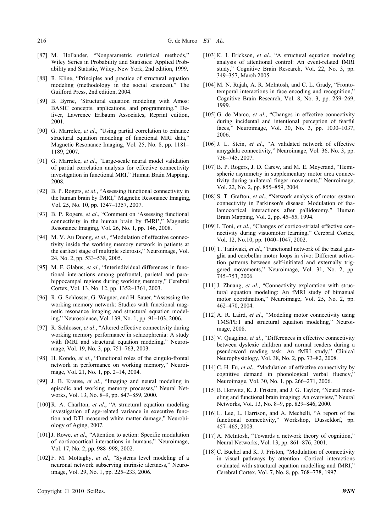- [87] M. Hollander, "Nonparametric statistical methods," Wiley Series in Probability and Statistics: Applied Probability and Statistic, Wiley, New York, 2nd edition, 1999.
- [88] R. Kline, "Principles and practice of structural equation modeling (methodology in the social sciences)," The Guilford Press, 2nd edition, 2004.
- [89] B. Byrne, "Structural equation modeling with Amos: BASIC concepts, applications, and programming," Deliver, Lawrence Erlbaum Associates, Reprint edition, 2001.
- [90] G. Marrelec, *et al*., "Using partial correlation to enhance structural equation modeling of functional MRI data," Magnetic Resonance Imaging, Vol. 25, No. 8, pp. 1181– 1189, 2007.
- [91] G. Marrelec, *et al*., "Large-scale neural model validation of partial correlation analysis for effective connectivity investigation in functional MRI," Human Brain Mapping, 2008.
- [92] B. P. Rogers, *et al*., "Assessing functional connectivity in the human brain by fMRI," Magnetic Resonance Imaging, Vol. 25, No. 10, pp. 1347–1357, 2007.
- [93] B. P. Rogers, *et al*., "Comment on 'Assessing functional connectivity in the human brain by fMRI'," Magnetic Resonance Imaging, Vol. 26, No. 1, pp. 146, 2008.
- [94] M. V. Au Duong, *et al.*, "Modulation of effective connectivity inside the working memory network in patients at the earliest stage of multiple sclerosis," Neuroimage, Vol. 24, No. 2, pp. 533–538, 2005.
- [95] M. F. Glabus, *et al.*, "Interindividual differences in functional interactions among prefrontal, parietal and parahippocampal regions during working memory," Cerebral Cortex, Vol. 13, No. 12, pp. 1352–1361, 2003.
- [96] R. G. Schlosser, G. Wagner, and H. Sauer, "Assessing the working memory network: Studies with functional magnetic resonance imaging and structural equation modeling," Neuroscience, Vol. 139, No. 1, pp. 91–103, 2006.
- [97] R. Schlosser, *et al*., "Altered effective connectivity during working memory performance in schizophrenia: A study with fMRI and structural equation modeling," Neuroimage, Vol. 19, No. 3, pp. 751–763, 2003.
- [98] H. Kondo, *et al.*, "Functional roles of the cingulo-frontal network in performance on working memory," Neuroimage, Vol. 21, No. 1, pp. 2–14, 2004.
- [99] J. B. Krause, *et al*., "Imaging and neural modeling in episodic and working memory processes," Neural Networks, Vol. 13, No. 8–9, pp. 847–859, 2000.
- [100]R. A. Charlton, *et al*., "A structural equation modeling investigation of age-related variance in executive function and DTI measured white matter damage," Neurobiology of Aging, 2007.
- [101] J. Rowe, *et al.*, "Attention to action: Specific modulation of corticocortical interactions in humans," Neuroimage, Vol. 17, No. 2, pp. 988–998, 2002.
- [102] F. M. Mottaghy, *et al*., "Systems level modeling of a neuronal network subserving intrinsic alertness," Neuroimage, Vol. 29, No. 1, pp. 225–233, 2006.
- [103] K. I. Erickson, *et al*., "A structural equation modeling analysis of attentional control: An event-related fMRI study," Cognitive Brain Research, Vol. 22, No. 3, pp. 349–357, March 2005.
- [104] M. N. Rajah, A. R. McIntosh, and C. L. Grady, "Frontotemporal interactions in face encoding and recognition," Cognitive Brain Research, Vol. 8, No. 3, pp. 259–269, 1999.
- [105] G. de Marco, *et al.*, "Changes in effective connectivity during incidental and intentional perception of fearful faces," Neuroimage, Vol. 30, No. 3, pp. 1030–1037, 2006.
- [106] J. L. Stein, et al., "A validated network of effective amygdala connectivity," Neuroimage, Vol. 36, No. 3, pp. 736–745, 2007.
- [107] B. P. Rogers, J. D. Carew, and M. E. Meyerand, "Hemispheric asymmetry in supplementary motor area connectivity during unilateral finger movements," Neuroimage, Vol. 22, No. 2, pp. 855–859, 2004.
- [108] S. T. Grafton, *et al*., "Network analysis of motor system connectivity in Parkinson's disease: Modulation of thalamocortical interactions after pallidotomy," Human Brain Mapping, Vol. 2, pp. 45–55, 1994.
- [109] I. Toni, et al., "Changes of cortico-striatal effective connectivity during visuomotor learning," Cerebral Cortex, Vol. 12, No.10, pp. 1040–1047, 2002.
- [110] T. Taniwaki, *et al.*, "Functional network of the basal ganglia and cerebellar motor loops in vivo: Different activation patterns between self-initiated and externally triggered movements," Neuroimage, Vol. 31, No. 2, pp. 745–753, 2006.
- [111]J. Zhuang, *et al*., "Connectivity exploration with structural equation modeling: An fMRI study of bimanual motor coordination," Neuroimage, Vol. 25, No. 2, pp. 462–470, 2004.
- [112] A. R. Laird, *et al*., "Modeling motor connectivity using TMS/PET and structural equation modeling," Neuroimage, 2008.
- [113] V. Quaglino, *et al*., "Differences in effective connectivity between dyslexic children and normal readers during a pseudoword reading task: An fMRI study," Clinical Neurophysiology, Vol. 38, No. 2, pp. 73–82, 2008.
- [114] C. H. Fu, et al., "Modulation of effective connectivity by cognitive demand in phonological verbal fluency, Neuroimage, Vol. 30, No. 1, pp. 266–271, 2006.
- [115] B. Horwitz, K. J. Friston, and J. G. Taylor, "Neural modeling and functional brain imaging: An overview," Neural Networks, Vol. 13, No. 8–9, pp. 829–846, 2000.
- [116] L. Lee, L. Harrison, and A. Mechelli, "A report of the functional connectivity," Workshop, Dusseldorf, pp. 457–465, 2003.
- [117] A. McIntosh, "Towards a network theory of cognition," Neural Networks, Vol. 13, pp. 861–876, 2001.
- [118] C. Buchel and K. J. Friston, "Modulation of connectivity in visual pathways by attention: Cortical interactions evaluated with structural equation modelling and fMRI," Cerebral Cortex, Vol. 7, No. 8, pp. 768–778, 1997.